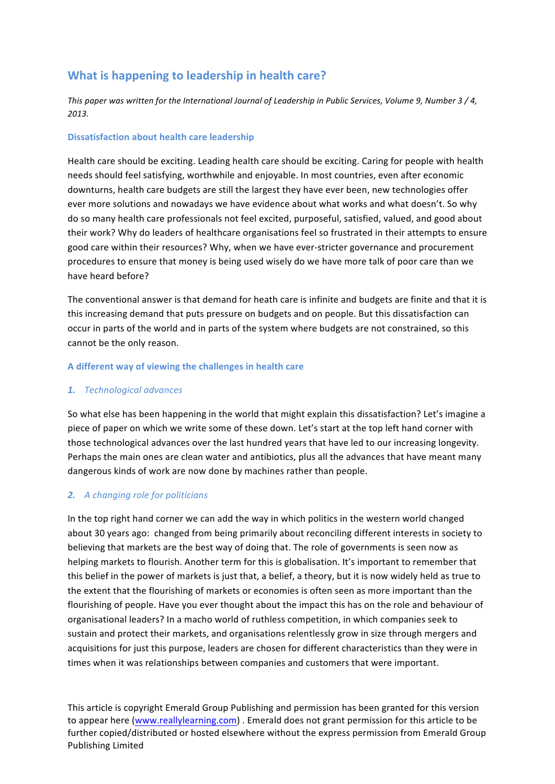# **What is happening to leadership in health care?**

This paper was written for the International Journal of Leadership in Public Services, Volume 9, Number 3 / 4, *2013.*

## **Dissatisfaction about health care leadership**

Health care should be exciting. Leading health care should be exciting. Caring for people with health needs should feel satisfying, worthwhile and enjoyable. In most countries, even after economic downturns, health care budgets are still the largest they have ever been, new technologies offer ever more solutions and nowadays we have evidence about what works and what doesn't. So why do so many health care professionals not feel excited, purposeful, satisfied, valued, and good about their work? Why do leaders of healthcare organisations feel so frustrated in their attempts to ensure good care within their resources? Why, when we have ever-stricter governance and procurement procedures to ensure that money is being used wisely do we have more talk of poor care than we have heard before?

The conventional answer is that demand for heath care is infinite and budgets are finite and that it is this increasing demand that puts pressure on budgets and on people. But this dissatisfaction can occur in parts of the world and in parts of the system where budgets are not constrained, so this cannot be the only reason.

## A different way of viewing the challenges in health care

# *1. Technological advances*

So what else has been happening in the world that might explain this dissatisfaction? Let's imagine a piece of paper on which we write some of these down. Let's start at the top left hand corner with those technological advances over the last hundred years that have led to our increasing longevity. Perhaps the main ones are clean water and antibiotics, plus all the advances that have meant many dangerous kinds of work are now done by machines rather than people.

# **2.** A changing role for politicians

In the top right hand corner we can add the way in which politics in the western world changed about 30 years ago: changed from being primarily about reconciling different interests in society to believing that markets are the best way of doing that. The role of governments is seen now as helping markets to flourish. Another term for this is globalisation. It's important to remember that this belief in the power of markets is just that, a belief, a theory, but it is now widely held as true to the extent that the flourishing of markets or economies is often seen as more important than the flourishing of people. Have you ever thought about the impact this has on the role and behaviour of organisational leaders? In a macho world of ruthless competition, in which companies seek to sustain and protect their markets, and organisations relentlessly grow in size through mergers and acquisitions for just this purpose, leaders are chosen for different characteristics than they were in times when it was relationships between companies and customers that were important.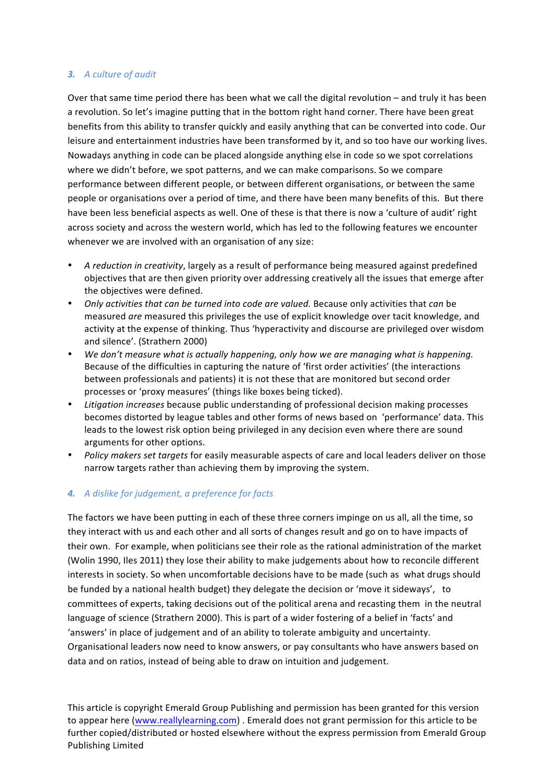# *3. A culture of audit*

Over that same time period there has been what we call the digital revolution  $-$  and truly it has been a revolution. So let's imagine putting that in the bottom right hand corner. There have been great benefits from this ability to transfer quickly and easily anything that can be converted into code. Our leisure and entertainment industries have been transformed by it, and so too have our working lives. Nowadays anything in code can be placed alongside anything else in code so we spot correlations where we didn't before, we spot patterns, and we can make comparisons. So we compare performance between different people, or between different organisations, or between the same people or organisations over a period of time, and there have been many benefits of this. But there have been less beneficial aspects as well. One of these is that there is now a 'culture of audit' right across society and across the western world, which has led to the following features we encounter whenever we are involved with an organisation of any size:

- A reduction in creativity, largely as a result of performance being measured against predefined objectives that are then given priority over addressing creatively all the issues that emerge after the objectives were defined.
- Only activities that can be turned into code are valued. Because only activities that can be measured *are* measured this privileges the use of explicit knowledge over tacit knowledge, and activity at the expense of thinking. Thus 'hyperactivity and discourse are privileged over wisdom and silence'. (Strathern 2000)
- We don't measure what is actually happening, only how we are managing what is happening. Because of the difficulties in capturing the nature of 'first order activities' (the interactions between professionals and patients) it is not these that are monitored but second order processes or 'proxy measures' (things like boxes being ticked).
- Litigation increases because public understanding of professional decision making processes becomes distorted by league tables and other forms of news based on 'performance' data. This leads to the lowest risk option being privileged in any decision even where there are sound arguments for other options.
- *Policy makers set targets* for easily measurable aspects of care and local leaders deliver on those narrow targets rather than achieving them by improving the system.

# *4. A dislike for judgement, a preference for facts*

The factors we have been putting in each of these three corners impinge on us all, all the time, so they interact with us and each other and all sorts of changes result and go on to have impacts of their own. For example, when politicians see their role as the rational administration of the market (Wolin 1990, Iles 2011) they lose their ability to make judgements about how to reconcile different interests in society. So when uncomfortable decisions have to be made (such as what drugs should be funded by a national health budget) they delegate the decision or 'move it sideways', to committees of experts, taking decisions out of the political arena and recasting them in the neutral language of science (Strathern 2000). This is part of a wider fostering of a belief in 'facts' and 'answers' in place of judgement and of an ability to tolerate ambiguity and uncertainty. Organisational leaders now need to know answers, or pay consultants who have answers based on data and on ratios, instead of being able to draw on intuition and judgement.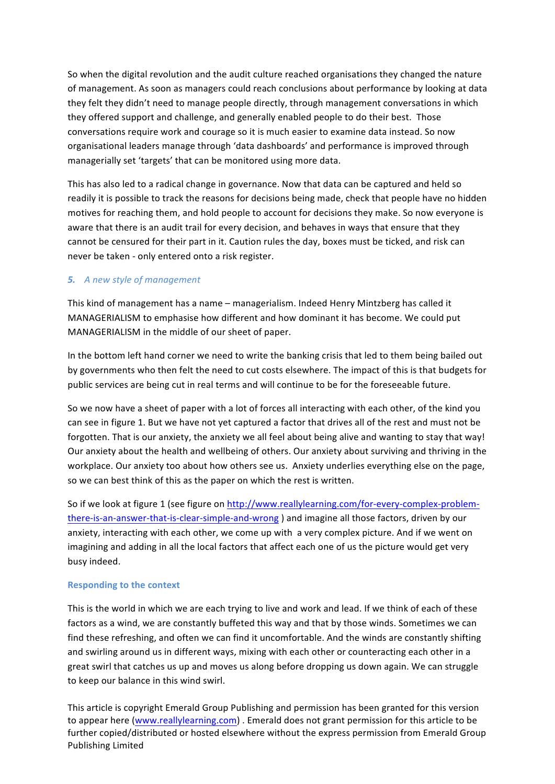So when the digital revolution and the audit culture reached organisations they changed the nature of management. As soon as managers could reach conclusions about performance by looking at data they felt they didn't need to manage people directly, through management conversations in which they offered support and challenge, and generally enabled people to do their best. Those conversations require work and courage so it is much easier to examine data instead. So now organisational leaders manage through 'data dashboards' and performance is improved through managerially set 'targets' that can be monitored using more data.

This has also led to a radical change in governance. Now that data can be captured and held so readily it is possible to track the reasons for decisions being made, check that people have no hidden motives for reaching them, and hold people to account for decisions they make. So now everyone is aware that there is an audit trail for every decision, and behaves in ways that ensure that they cannot be censured for their part in it. Caution rules the day, boxes must be ticked, and risk can never be taken - only entered onto a risk register.

## *5. A new style of management*

This kind of management has a name – managerialism. Indeed Henry Mintzberg has called it MANAGERIALISM to emphasise how different and how dominant it has become. We could put MANAGERIALISM in the middle of our sheet of paper.

In the bottom left hand corner we need to write the banking crisis that led to them being bailed out by governments who then felt the need to cut costs elsewhere. The impact of this is that budgets for public services are being cut in real terms and will continue to be for the foreseeable future.

So we now have a sheet of paper with a lot of forces all interacting with each other, of the kind you can see in figure 1. But we have not yet captured a factor that drives all of the rest and must not be forgotten. That is our anxiety, the anxiety we all feel about being alive and wanting to stay that way! Our anxiety about the health and wellbeing of others. Our anxiety about surviving and thriving in the workplace. Our anxiety too about how others see us. Anxiety underlies everything else on the page, so we can best think of this as the paper on which the rest is written.

So if we look at figure 1 (see figure on http://www.reallylearning.com/for-every-complex-problemthere-is-an-answer-that-is-clear-simple-and-wrong ) and imagine all those factors, driven by our anxiety, interacting with each other, we come up with a very complex picture. And if we went on imagining and adding in all the local factors that affect each one of us the picture would get very busy indeed.

# **Responding to the context**

This is the world in which we are each trying to live and work and lead. If we think of each of these factors as a wind, we are constantly buffeted this way and that by those winds. Sometimes we can find these refreshing, and often we can find it uncomfortable. And the winds are constantly shifting and swirling around us in different ways, mixing with each other or counteracting each other in a great swirl that catches us up and moves us along before dropping us down again. We can struggle to keep our balance in this wind swirl.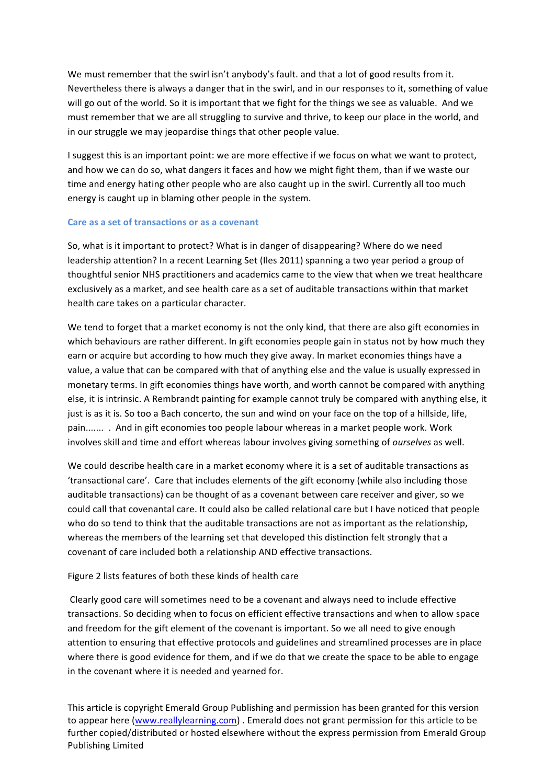We must remember that the swirl isn't anybody's fault. and that a lot of good results from it. Nevertheless there is always a danger that in the swirl, and in our responses to it, something of value will go out of the world. So it is important that we fight for the things we see as valuable. And we must remember that we are all struggling to survive and thrive, to keep our place in the world, and in our struggle we may jeopardise things that other people value.

I suggest this is an important point: we are more effective if we focus on what we want to protect, and how we can do so, what dangers it faces and how we might fight them, than if we waste our time and energy hating other people who are also caught up in the swirl. Currently all too much energy is caught up in blaming other people in the system.

#### Care as a set of transactions or as a covenant

So, what is it important to protect? What is in danger of disappearing? Where do we need leadership attention? In a recent Learning Set (Iles 2011) spanning a two year period a group of thoughtful senior NHS practitioners and academics came to the view that when we treat healthcare exclusively as a market, and see health care as a set of auditable transactions within that market health care takes on a particular character.

We tend to forget that a market economy is not the only kind, that there are also gift economies in which behaviours are rather different. In gift economies people gain in status not by how much they earn or acquire but according to how much they give away. In market economies things have a value, a value that can be compared with that of anything else and the value is usually expressed in monetary terms. In gift economies things have worth, and worth cannot be compared with anything else, it is intrinsic. A Rembrandt painting for example cannot truly be compared with anything else, it just is as it is. So too a Bach concerto, the sun and wind on your face on the top of a hillside, life, pain......... And in gift economies too people labour whereas in a market people work. Work involves skill and time and effort whereas labour involves giving something of *ourselves* as well.

We could describe health care in a market economy where it is a set of auditable transactions as 'transactional care'. Care that includes elements of the gift economy (while also including those auditable transactions) can be thought of as a covenant between care receiver and giver, so we could call that covenantal care. It could also be called relational care but I have noticed that people who do so tend to think that the auditable transactions are not as important as the relationship, whereas the members of the learning set that developed this distinction felt strongly that a covenant of care included both a relationship AND effective transactions.

#### Figure 2 lists features of both these kinds of health care

Clearly good care will sometimes need to be a covenant and always need to include effective transactions. So deciding when to focus on efficient effective transactions and when to allow space and freedom for the gift element of the covenant is important. So we all need to give enough attention to ensuring that effective protocols and guidelines and streamlined processes are in place where there is good evidence for them, and if we do that we create the space to be able to engage in the covenant where it is needed and vearned for.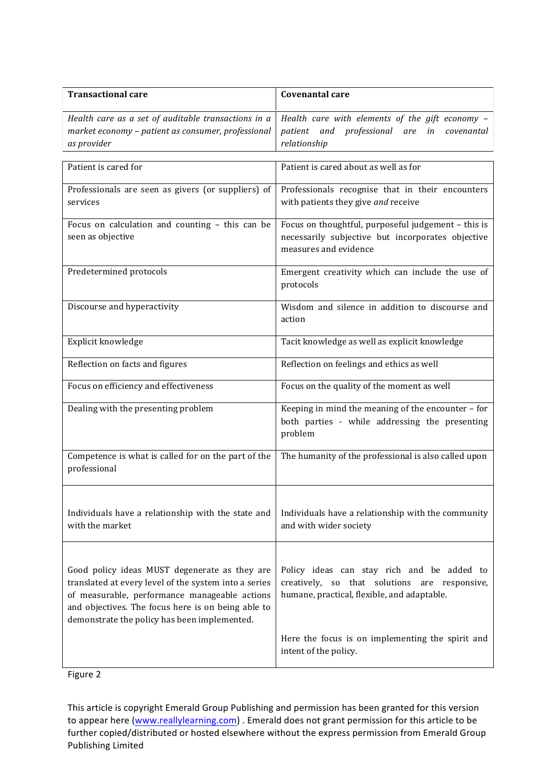| <b>Transactional care</b>                                                                                                                                                                                                                                     | <b>Covenantal care</b>                                                                                                                     |
|---------------------------------------------------------------------------------------------------------------------------------------------------------------------------------------------------------------------------------------------------------------|--------------------------------------------------------------------------------------------------------------------------------------------|
| Health care as a set of auditable transactions in a<br>market economy - patient as consumer, professional<br>as provider                                                                                                                                      | Health care with elements of the gift economy -<br>and professional are in covenantal<br>patient<br>relationship                           |
| Patient is cared for                                                                                                                                                                                                                                          | Patient is cared about as well as for                                                                                                      |
| Professionals are seen as givers (or suppliers) of<br>services                                                                                                                                                                                                | Professionals recognise that in their encounters<br>with patients they give and receive                                                    |
| Focus on calculation and counting - this can be<br>seen as objective                                                                                                                                                                                          | Focus on thoughtful, purposeful judgement - this is<br>necessarily subjective but incorporates objective<br>measures and evidence          |
| Predetermined protocols                                                                                                                                                                                                                                       | Emergent creativity which can include the use of<br>protocols                                                                              |
| Discourse and hyperactivity                                                                                                                                                                                                                                   | Wisdom and silence in addition to discourse and<br>action                                                                                  |
| Explicit knowledge                                                                                                                                                                                                                                            | Tacit knowledge as well as explicit knowledge                                                                                              |
| Reflection on facts and figures                                                                                                                                                                                                                               | Reflection on feelings and ethics as well                                                                                                  |
| Focus on efficiency and effectiveness                                                                                                                                                                                                                         | Focus on the quality of the moment as well                                                                                                 |
| Dealing with the presenting problem                                                                                                                                                                                                                           | Keeping in mind the meaning of the encounter - for<br>both parties - while addressing the presenting<br>problem                            |
| Competence is what is called for on the part of the<br>professional                                                                                                                                                                                           | The humanity of the professional is also called upon                                                                                       |
|                                                                                                                                                                                                                                                               |                                                                                                                                            |
| Individuals have a relationship with the state and<br>with the market                                                                                                                                                                                         | Individuals have a relationship with the community<br>and with wider society                                                               |
| Good policy ideas MUST degenerate as they are<br>translated at every level of the system into a series<br>of measurable, performance manageable actions<br>and objectives. The focus here is on being able to<br>demonstrate the policy has been implemented. | Policy ideas can stay rich and be added to<br>creatively, so that solutions are responsive,<br>humane, practical, flexible, and adaptable. |
|                                                                                                                                                                                                                                                               | Here the focus is on implementing the spirit and<br>intent of the policy.                                                                  |

Figure 2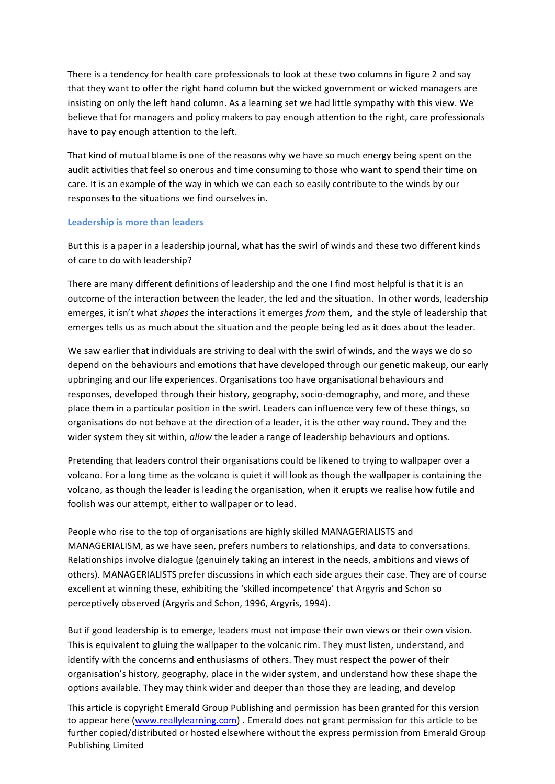There is a tendency for health care professionals to look at these two columns in figure 2 and say that they want to offer the right hand column but the wicked government or wicked managers are insisting on only the left hand column. As a learning set we had little sympathy with this view. We believe that for managers and policy makers to pay enough attention to the right, care professionals have to pay enough attention to the left.

That kind of mutual blame is one of the reasons why we have so much energy being spent on the audit activities that feel so onerous and time consuming to those who want to spend their time on care. It is an example of the way in which we can each so easily contribute to the winds by our responses to the situations we find ourselves in.

#### Leadership is more than leaders

But this is a paper in a leadership journal, what has the swirl of winds and these two different kinds of care to do with leadership?

There are many different definitions of leadership and the one I find most helpful is that it is an outcome of the interaction between the leader, the led and the situation. In other words, leadership emerges, it isn't what *shapes* the interactions it emerges *from* them, and the style of leadership that emerges tells us as much about the situation and the people being led as it does about the leader.

We saw earlier that individuals are striving to deal with the swirl of winds, and the ways we do so depend on the behaviours and emotions that have developed through our genetic makeup, our early upbringing and our life experiences. Organisations too have organisational behaviours and responses, developed through their history, geography, socio-demography, and more, and these place them in a particular position in the swirl. Leaders can influence very few of these things, so organisations do not behave at the direction of a leader, it is the other way round. They and the wider system they sit within, *allow* the leader a range of leadership behaviours and options.

Pretending that leaders control their organisations could be likened to trying to wallpaper over a volcano. For a long time as the volcano is quiet it will look as though the wallpaper is containing the volcano, as though the leader is leading the organisation, when it erupts we realise how futile and foolish was our attempt, either to wallpaper or to lead.

People who rise to the top of organisations are highly skilled MANAGERIALISTS and MANAGERIALISM, as we have seen, prefers numbers to relationships, and data to conversations. Relationships involve dialogue (genuinely taking an interest in the needs, ambitions and views of others). MANAGERIALISTS prefer discussions in which each side argues their case. They are of course excellent at winning these, exhibiting the 'skilled incompetence' that Argyris and Schon so perceptively observed (Argyris and Schon, 1996, Argyris, 1994).

But if good leadership is to emerge, leaders must not impose their own views or their own vision. This is equivalent to gluing the wallpaper to the volcanic rim. They must listen, understand, and identify with the concerns and enthusiasms of others. They must respect the power of their organisation's history, geography, place in the wider system, and understand how these shape the options available. They may think wider and deeper than those they are leading, and develop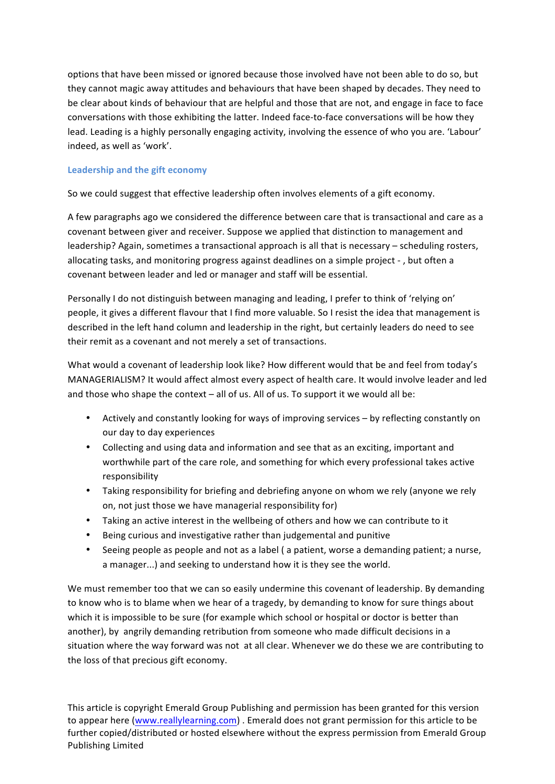options that have been missed or ignored because those involved have not been able to do so, but they cannot magic away attitudes and behaviours that have been shaped by decades. They need to be clear about kinds of behaviour that are helpful and those that are not, and engage in face to face conversations with those exhibiting the latter. Indeed face-to-face conversations will be how they lead. Leading is a highly personally engaging activity, involving the essence of who you are. 'Labour' indeed, as well as 'work'.

## **Leadership and the gift economy**

So we could suggest that effective leadership often involves elements of a gift economy.

A few paragraphs ago we considered the difference between care that is transactional and care as a covenant between giver and receiver. Suppose we applied that distinction to management and leadership? Again, sometimes a transactional approach is all that is necessary – scheduling rosters, allocating tasks, and monitoring progress against deadlines on a simple project -, but often a covenant between leader and led or manager and staff will be essential.

Personally I do not distinguish between managing and leading, I prefer to think of 'relying on' people, it gives a different flavour that I find more valuable. So I resist the idea that management is described in the left hand column and leadership in the right, but certainly leaders do need to see their remit as a covenant and not merely a set of transactions.

What would a covenant of leadership look like? How different would that be and feel from today's MANAGERIALISM? It would affect almost every aspect of health care. It would involve leader and led and those who shape the context  $-$  all of us. All of us. To support it we would all be:

- Actively and constantly looking for ways of improving services by reflecting constantly on our day to day experiences
- Collecting and using data and information and see that as an exciting, important and worthwhile part of the care role, and something for which every professional takes active responsibility
- Taking responsibility for briefing and debriefing anyone on whom we rely (anyone we rely on, not just those we have managerial responsibility for)
- Taking an active interest in the wellbeing of others and how we can contribute to it
- Being curious and investigative rather than judgemental and punitive
- Seeing people as people and not as a label (a patient, worse a demanding patient; a nurse, a manager...) and seeking to understand how it is they see the world.

We must remember too that we can so easily undermine this covenant of leadership. By demanding to know who is to blame when we hear of a tragedy, by demanding to know for sure things about which it is impossible to be sure (for example which school or hospital or doctor is better than another), by angrily demanding retribution from someone who made difficult decisions in a situation where the way forward was not at all clear. Whenever we do these we are contributing to the loss of that precious gift economy.